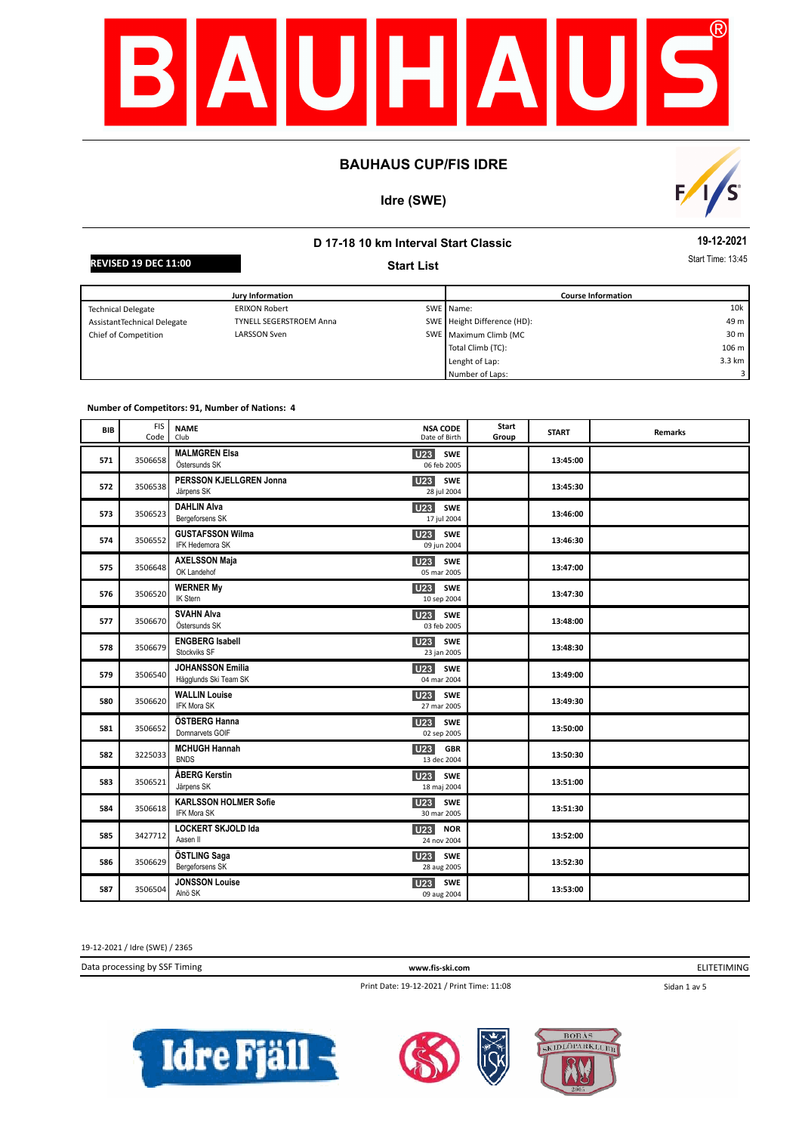

## **Idre (SWE)**



# **D 17-18 10 km Interval Start Classic Start List**

**19-12-2021**

**REVISED 19 DEC 11:00** Start **Contract Time: 13:45** Start **Contract Time: 13:45** 

| Jury Information            |                                |  | <b>Course Information</b>   |                 |  |
|-----------------------------|--------------------------------|--|-----------------------------|-----------------|--|
| <b>Technical Delegate</b>   | <b>ERIXON Robert</b>           |  | SWE Name:                   | 10k             |  |
| AssistantTechnical Delegate | <b>TYNELL SEGERSTROEM Anna</b> |  | SWE Height Difference (HD): | 49 m            |  |
| Chief of Competition        | LARSSON Sven                   |  | SWE Maximum Climb (MC       | 30 <sub>m</sub> |  |
|                             |                                |  | Total Climb (TC):           | 106 m           |  |
|                             |                                |  | Lenght of Lap:              | 3.3 km          |  |
|                             |                                |  | Number of Laps:             |                 |  |

#### **Number of Competitors: 91, Number of Nations: 4**

| <b>BIB</b> | <b>FIS</b><br>Code | <b>NAME</b><br>Club                                | <b>NSA CODE</b><br>Date of Birth             | Start<br>Group | <b>START</b> | <b>Remarks</b> |
|------------|--------------------|----------------------------------------------------|----------------------------------------------|----------------|--------------|----------------|
| 571        | 3506658            | <b>MALMGREN Elsa</b><br>Östersunds SK              | <b>U23</b><br><b>SWE</b><br>06 feb 2005      |                | 13:45:00     |                |
| 572        | 3506538            | PERSSON KJELLGREN Jonna<br>Järpens SK              | SWE<br>U23<br>28 jul 2004                    |                | 13:45:30     |                |
| 573        | 3506523            | <b>DAHLIN Alva</b><br>Bergeforsens SK              | U <sub>23</sub><br><b>SWE</b><br>17 jul 2004 |                | 13:46:00     |                |
| 574        | 3506552            | <b>GUSTAFSSON Wilma</b><br>IFK Hedemora SK         | U23<br><b>SWE</b><br>09 jun 2004             |                | 13:46:30     |                |
| 575        | 3506648            | <b>AXELSSON Maja</b><br>OK Landehof                | U23<br>SWE<br>05 mar 2005                    |                | 13:47:00     |                |
| 576        | 3506520            | <b>WERNER My</b><br><b>IK Stern</b>                | <b>U23</b><br><b>SWE</b><br>10 sep 2004      |                | 13:47:30     |                |
| 577        | 3506670            | <b>SVAHN Alva</b><br>Östersunds SK                 | U23<br>SWE<br>03 feb 2005                    |                | 13:48:00     |                |
| 578        | 3506679            | <b>ENGBERG Isabell</b><br>Stockviks SF             | <b>U23</b><br><b>SWE</b><br>23 jan 2005      |                | 13:48:30     |                |
| 579        | 3506540            | <b>JOHANSSON Emilia</b><br>Hägglunds Ski Team SK   | <b>SWE</b><br><b>U23</b><br>04 mar 2004      |                | 13:49:00     |                |
| 580        | 3506620            | <b>WALLIN Louise</b><br><b>IFK Mora SK</b>         | U23<br><b>SWE</b><br>27 mar 2005             |                | 13:49:30     |                |
| 581        | 3506652            | ÖSTBERG Hanna<br>Domnarvets GOIF                   | U23<br>SWE<br>02 sep 2005                    |                | 13:50:00     |                |
| 582        | 3225033            | <b>MCHUGH Hannah</b><br><b>BNDS</b>                | <b>U23</b><br><b>GBR</b><br>13 dec 2004      |                | 13:50:30     |                |
| 583        | 3506521            | ÅBERG Kerstin<br>Järpens SK                        | U <sub>23</sub><br><b>SWE</b><br>18 maj 2004 |                | 13:51:00     |                |
| 584        | 3506618            | <b>KARLSSON HOLMER Sofie</b><br><b>IFK Mora SK</b> | <b>U23</b><br>SWE<br>30 mar 2005             |                | 13:51:30     |                |
| 585        | 3427712            | <b>LOCKERT SKJOLD Ida</b><br>Aasen II              | <b>U23</b><br><b>NOR</b><br>24 nov 2004      |                | 13:52:00     |                |
| 586        | 3506629            | ÖSTLING Saga<br>Bergeforsens SK                    | U23<br>SWE<br>28 aug 2005                    |                | 13:52:30     |                |
| 587        | 3506504            | <b>JONSSON Louise</b><br>Alnö SK                   | <b>U23</b><br><b>SWE</b><br>09 aug 2004      |                | 13:53:00     |                |

19-12-2021 / Idre (SWE) / 2365

Data processing by SSF Timing **www.fis-ski.com**

ELITETIMING

Print Date: 19-12-2021 / Print Time: 11:08

Sidan 1 av 5





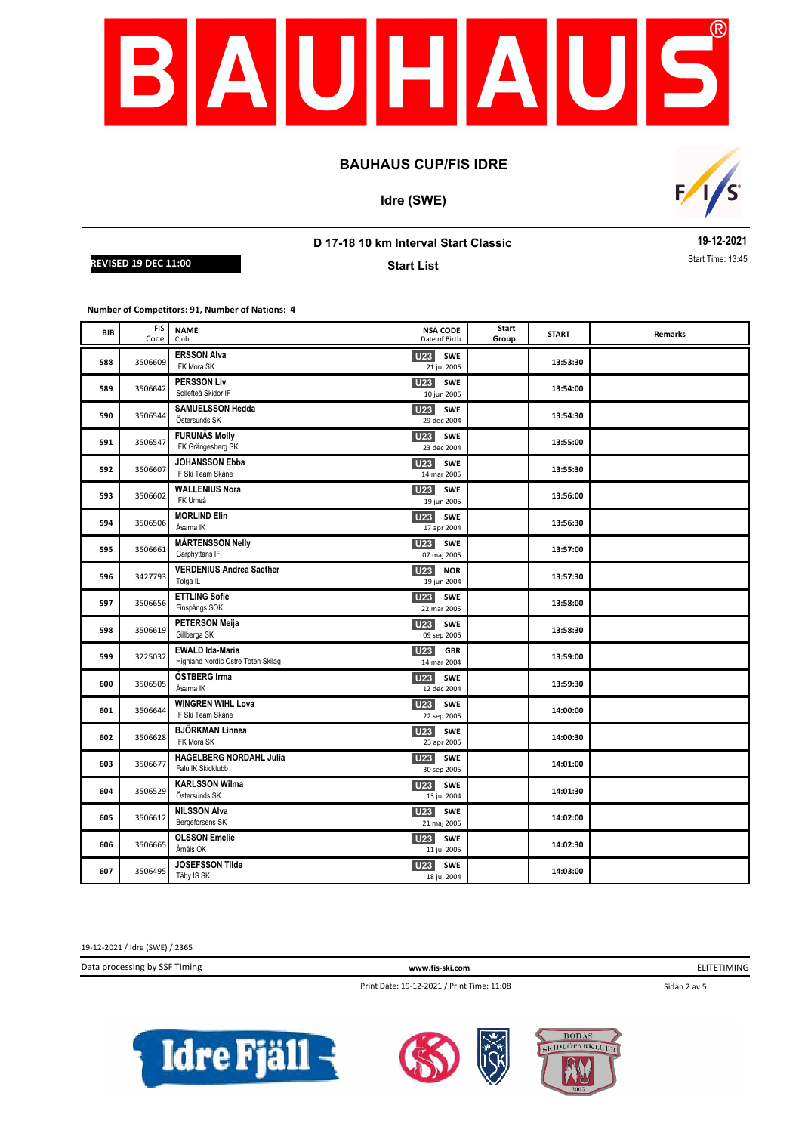

**Idre (SWE)**



## **D 17-18 10 km Interval Start Classic**

**REVISED 19 DEC 11:00** Start **Contract Time: 13:45** Start **Contract Time: 13:45** 

**Start List**

**19-12-2021**

**Number of Competitors: 91, Number of Nations: 4**

| BIB | <b>FIS</b><br>Code | <b>NAME</b><br>Club                                          | <b>NSA CODE</b><br>Date of Birth             | Start<br>Group | <b>START</b> | <b>Remarks</b> |
|-----|--------------------|--------------------------------------------------------------|----------------------------------------------|----------------|--------------|----------------|
| 588 | 3506609            | <b>ERSSON Alva</b><br>IFK Mora SK                            | U <sub>23</sub><br>SWE<br>21 jul 2005        |                | 13:53:30     |                |
| 589 | 3506642            | <b>PERSSON Liv</b><br>Sollefteå Skidor IF                    | U <sub>23</sub><br><b>SWE</b><br>10 jun 2005 |                | 13:54:00     |                |
| 590 | 3506544            | <b>SAMUELSSON Hedda</b><br>Östersunds SK                     | <b>U23</b><br><b>SWE</b><br>29 dec 2004      |                | 13:54:30     |                |
| 591 | 3506547            | <b>FURUNÄS Molly</b><br>IFK Grängesberg SK                   | U23<br><b>SWE</b><br>23 dec 2004             |                | 13:55:00     |                |
| 592 | 3506607            | <b>JOHANSSON Ebba</b><br>IF Ski Team Skåne                   | <b>SWE</b><br>U23<br>14 mar 2005             |                | 13:55:30     |                |
| 593 | 3506602            | <b>WALLENIUS Nora</b><br>IFK Umeå                            | U <sub>23</sub><br><b>SWE</b><br>19 jun 2005 |                | 13:56:00     |                |
| 594 | 3506506            | <b>MORLIND Elin</b><br>Åsarna IK                             | <b>U23</b><br><b>SWE</b><br>17 apr 2004      |                | 13:56:30     |                |
| 595 | 3506661            | <b>MÅRTENSSON Nelly</b><br>Garphyttans IF                    | <b>U23</b><br><b>SWE</b><br>07 maj 2005      |                | 13:57:00     |                |
| 596 | 3427793            | <b>VERDENIUS Andrea Saether</b><br>Tolga <sub>IL</sub>       | U23<br><b>NOR</b><br>19 jun 2004             |                | 13:57:30     |                |
| 597 | 3506656            | <b>ETTLING Sofie</b><br>Finspångs SOK                        | U23<br><b>SWE</b><br>22 mar 2005             |                | 13:58:00     |                |
| 598 | 3506619            | <b>PETERSON Meija</b><br>Gillberga SK                        | U23<br><b>SWE</b><br>09 sep 2005             |                | 13:58:30     |                |
| 599 | 3225032            | <b>EWALD Ida-Maria</b><br>Highland Nordic Ostre Toten Skilag | U23<br><b>GBR</b><br>14 mar 2004             |                | 13:59:00     |                |
| 600 | 3506505            | ÖSTBERG Irma<br>Åsarna IK                                    | U <sub>23</sub><br><b>SWE</b><br>12 dec 2004 |                | 13:59:30     |                |
| 601 | 3506644            | <b>WINGREN WIHL Lova</b><br>IF Ski Team Skåne                | U <sub>23</sub><br><b>SWE</b><br>22 sep 2005 |                | 14:00:00     |                |
| 602 | 3506628            | <b>BJÖRKMAN Linnea</b><br><b>IFK Mora SK</b>                 | <b>U23</b><br><b>SWE</b><br>23 apr 2005      |                | 14:00:30     |                |
| 603 | 3506677            | <b>HAGELBERG NORDAHL Julia</b><br>Falu IK Skidklubb          | <b>U23</b><br><b>SWE</b><br>30 sep 2005      |                | 14:01:00     |                |
| 604 | 3506529            | <b>KARLSSON Wilma</b><br>Östersunds SK                       | U <sub>23</sub><br><b>SWE</b><br>13 jul 2004 |                | 14:01:30     |                |
| 605 | 3506612            | <b>NILSSON Alva</b><br>Bergeforsens SK                       | U <sub>23</sub><br><b>SWE</b><br>21 maj 2005 |                | 14:02:00     |                |
| 606 | 3506665            | <b>OLSSON Emelie</b><br>Åmåls OK                             | U23 SWE<br>11 jul 2005                       |                | 14:02:30     |                |
| 607 | 3506495            | <b>JOSEFSSON Tilde</b><br>Täby IS SK                         | <b>U23</b><br><b>SWE</b><br>18 jul 2004      |                | 14:03:00     |                |

19-12-2021 / Idre (SWE) / 2365

Data processing by SSF Timing **www.fis-ski.com**

ELITETIMING

Print Date: 19-12-2021 / Print Time: 11:08

Sidan 2 av 5





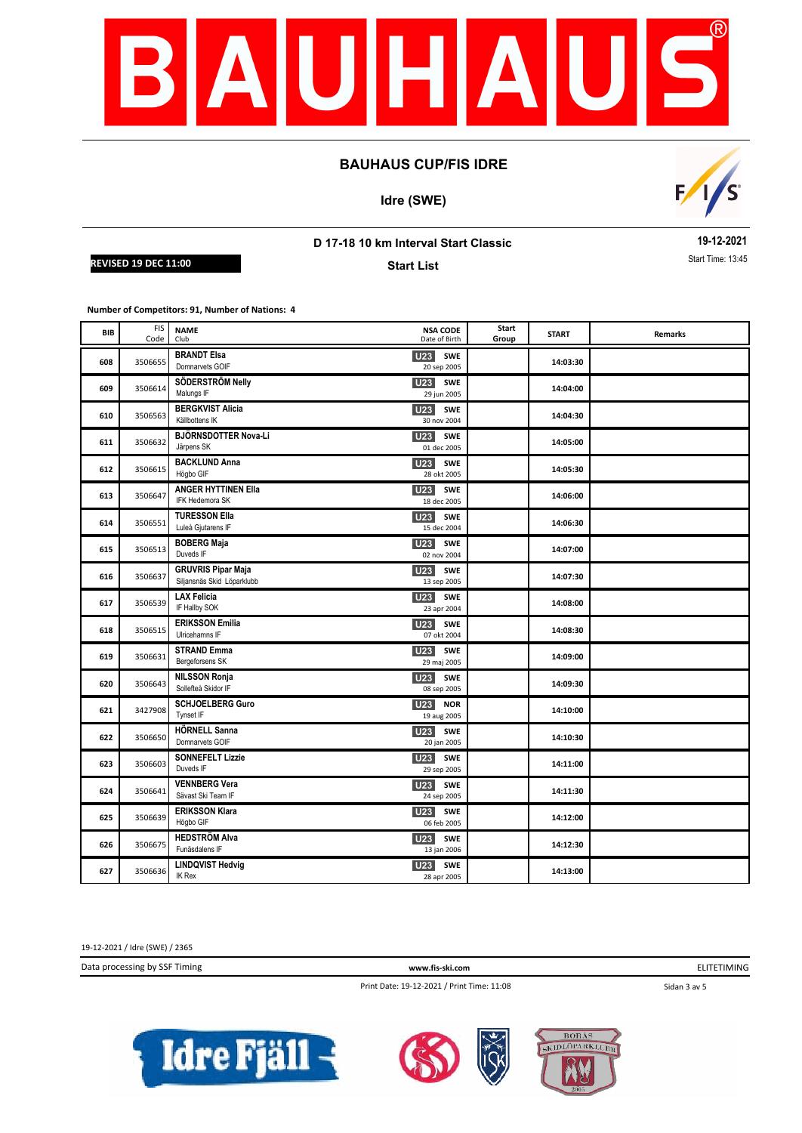

**Idre (SWE)**



## **D 17-18 10 km Interval Start Classic**

**REVISED 19 DEC 11:00** Start **Contract Time: 13:45** Start **Contract Time: 13:45** 

**Start List**

**19-12-2021**

**Number of Competitors: 91, Number of Nations: 4**

| BIB | <b>FIS</b><br>Code | <b>NAME</b><br>Club                                     | <b>NSA CODE</b><br>Date of Birth             | Start<br>Group | <b>START</b> | <b>Remarks</b> |
|-----|--------------------|---------------------------------------------------------|----------------------------------------------|----------------|--------------|----------------|
| 608 | 3506655            | <b>BRANDT Elsa</b><br>Domnarvets GOIF                   | U23<br>SWE<br>20 sep 2005                    |                | 14:03:30     |                |
| 609 | 3506614            | SÖDERSTRÖM Nelly<br>Malungs IF                          | <b>U23</b><br><b>SWE</b><br>29 jun 2005      |                | 14:04:00     |                |
| 610 | 3506563            | <b>BERGKVIST Alicia</b><br>Källbottens IK               | <b>U23</b><br><b>SWE</b><br>30 nov 2004      |                | 14:04:30     |                |
| 611 | 3506632            | BJÖRNSDOTTER Nova-Li<br>Järpens SK                      | U23<br><b>SWE</b><br>01 dec 2005             |                | 14:05:00     |                |
| 612 | 3506615            | <b>BACKLUND Anna</b><br>Högbo GIF                       | <b>SWE</b><br><b>U23</b><br>28 okt 2005      |                | 14:05:30     |                |
| 613 | 3506647            | <b>ANGER HYTTINEN Ella</b><br>IFK Hedemora SK           | U <sub>23</sub><br><b>SWE</b><br>18 dec 2005 |                | 14:06:00     |                |
| 614 | 3506551            | <b>TURESSON Ella</b><br>Luleå Gjutarens IF              | U <sub>23</sub><br>SWE<br>15 dec 2004        |                | 14:06:30     |                |
| 615 | 3506513            | <b>BOBERG Maja</b><br>Duveds IF                         | U <sub>23</sub><br><b>SWE</b><br>02 nov 2004 |                | 14:07:00     |                |
| 616 | 3506637            | <b>GRUVRIS Pipar Maja</b><br>Siljansnäs Skid Löparklubb | U23<br><b>SWE</b><br>13 sep 2005             |                | 14:07:30     |                |
| 617 | 3506539            | <b>LAX Felicia</b><br>IF Hallby SOK                     | U23<br><b>SWE</b><br>23 apr 2004             |                | 14:08:00     |                |
| 618 | 3506515            | <b>ERIKSSON Emilia</b><br>Ulricehamns IF                | U23<br><b>SWE</b><br>07 okt 2004             |                | 14:08:30     |                |
| 619 | 3506631            | <b>STRAND Emma</b><br>Bergeforsens SK                   | U <sub>23</sub><br><b>SWE</b><br>29 maj 2005 |                | 14:09:00     |                |
| 620 | 3506643            | <b>NILSSON Ronja</b><br>Sollefteå Skidor IF             | U <sub>23</sub><br>SWE<br>08 sep 2005        |                | 14:09:30     |                |
| 621 | 3427908            | <b>SCHJOELBERG Guro</b><br>Tynset IF                    | U <sub>23</sub><br><b>NOR</b><br>19 aug 2005 |                | 14:10:00     |                |
| 622 | 3506650            | <b>HÖRNELL Sanna</b><br>Domnarvets GOIF                 | U23<br><b>SWE</b><br>20 jan 2005             |                | 14:10:30     |                |
| 623 | 3506603            | <b>SONNEFELT Lizzie</b><br>Duveds IF                    | <b>U23</b><br><b>SWE</b><br>29 sep 2005      |                | 14:11:00     |                |
| 624 | 3506641            | <b>VENNBERG Vera</b><br>Sävast Ski Team IF              | U <sub>23</sub><br><b>SWE</b><br>24 sep 2005 |                | 14:11:30     |                |
| 625 | 3506639            | <b>ERIKSSON Klara</b><br>Högbo GIF                      | U <sub>23</sub><br><b>SWE</b><br>06 feb 2005 |                | 14:12:00     |                |
| 626 | 3506675            | <b>HEDSTRÖM Alva</b><br>Funäsdalens IF                  | U23 SWE<br>13 jan 2006                       |                | 14:12:30     |                |
| 627 | 3506636            | <b>LINDQVIST Hedvig</b><br>IK Rex                       | <b>U23</b><br><b>SWE</b><br>28 apr 2005      |                | 14:13:00     |                |

19-12-2021 / Idre (SWE) / 2365

Data processing by SSF Timing **www.fis-ski.com**

ELITETIMING

Print Date: 19-12-2021 / Print Time: 11:08

Sidan 3 av 5





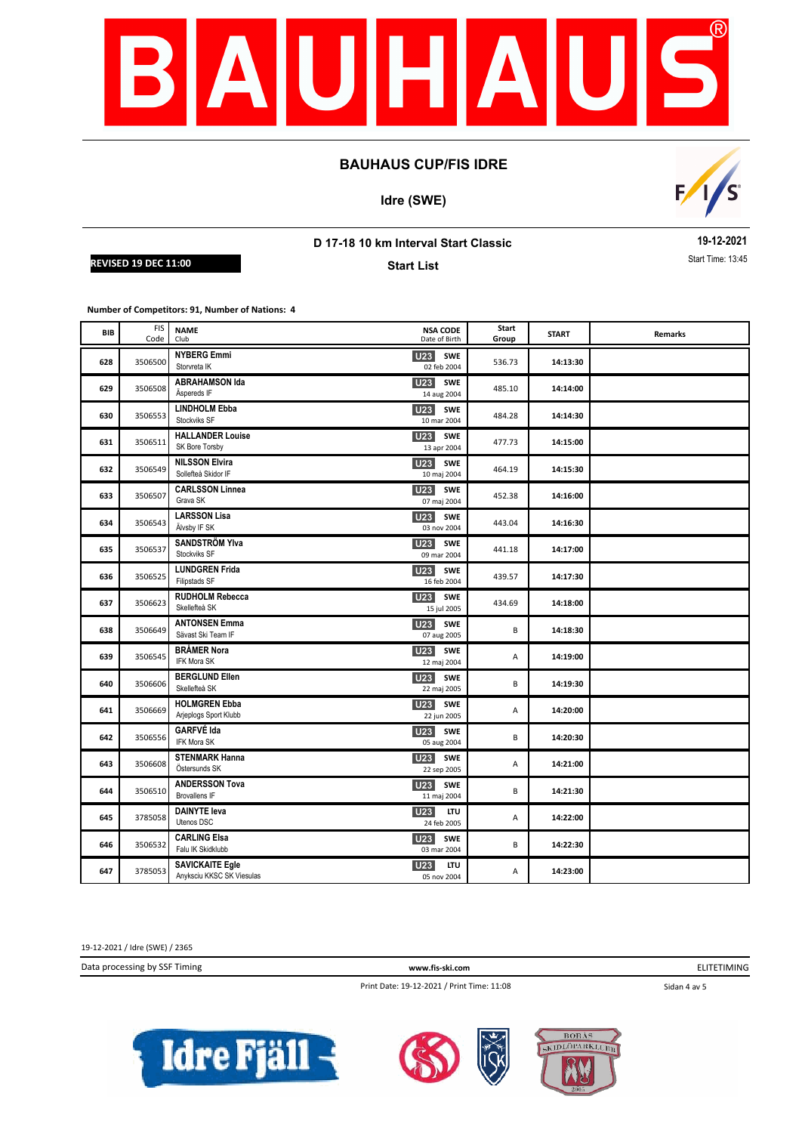

**Idre (SWE)**



## **D 17-18 10 km Interval Start Classic**

**REVISED 19 DEC 11:00** Start **Contract Time: 13:45** Start **Contract Time: 13:45** 

**Start List**

**19-12-2021**

**Number of Competitors: 91, Number of Nations: 4**

| <b>BIB</b> | <b>FIS</b><br>Code | <b>NAME</b><br>Club                                 | <b>NSA CODE</b><br>Date of Birth             | Start<br>Group | <b>START</b> | Remarks |
|------------|--------------------|-----------------------------------------------------|----------------------------------------------|----------------|--------------|---------|
| 628        | 3506500            | <b>NYBERG Emmi</b><br>Storvreta IK                  | U23<br><b>SWE</b><br>02 feb 2004             | 536.73         | 14:13:30     |         |
| 629        | 3506508            | <b>ABRAHAMSON Ida</b><br>Äspereds IF                | U <sub>23</sub><br><b>SWE</b><br>14 aug 2004 | 485.10         | 14:14:00     |         |
| 630        | 3506553            | <b>LINDHOLM Ebba</b><br>Stockviks SF                | <b>U23</b><br><b>SWE</b><br>10 mar 2004      | 484.28         | 14:14:30     |         |
| 631        | 3506511            | <b>HALLANDER Louise</b><br>SK Bore Torsby           | SWE<br>U23<br>13 apr 2004                    | 477.73         | 14:15:00     |         |
| 632        | 3506549            | <b>NILSSON Elvira</b><br>Sollefteå Skidor IF        | <b>SWE</b><br>U23<br>10 maj 2004             | 464.19         | 14:15:30     |         |
| 633        | 3506507            | <b>CARLSSON Linnea</b><br>Grava SK                  | U <sub>23</sub><br><b>SWE</b><br>07 maj 2004 | 452.38         | 14:16:00     |         |
| 634        | 3506543            | <b>LARSSON Lisa</b><br>Älvsby IF SK                 | <b>U23</b><br>SWE<br>03 nov 2004             | 443.04         | 14:16:30     |         |
| 635        | 3506537            | <b>SANDSTRÖM YIva</b><br>Stockviks SF               | <b>U23</b><br><b>SWE</b><br>09 mar 2004      | 441.18         | 14:17:00     |         |
| 636        | 3506525            | <b>LUNDGREN Frida</b><br>Filipstads SF              | U <sub>23</sub><br>SWE<br>16 feb 2004        | 439.57         | 14:17:30     |         |
| 637        | 3506623            | <b>RUDHOLM Rebecca</b><br>Skellefteå SK             | U23<br><b>SWE</b><br>15 jul 2005             | 434.69         | 14:18:00     |         |
| 638        | 3506649            | <b>ANTONSEN Emma</b><br>Sävast Ski Team IF          | U23<br><b>SWE</b><br>07 aug 2005             | B              | 14:18:30     |         |
| 639        | 3506545            | <b>BRÅMER Nora</b><br>IFK Mora SK                   | <b>U23</b> SWE<br>12 maj 2004                | Α              | 14:19:00     |         |
| 640        | 3506606            | <b>BERGLUND Ellen</b><br>Skellefteå SK              | U <sub>23</sub><br><b>SWE</b><br>22 maj 2005 | B              | 14:19:30     |         |
| 641        | 3506669            | <b>HOLMGREN Ebba</b><br>Arjeplogs Sport Klubb       | U <sub>23</sub><br><b>SWE</b><br>22 jun 2005 | Α              | 14:20:00     |         |
| 642        | 3506556            | <b>GARFVÉ Ida</b><br><b>IFK Mora SK</b>             | <b>U23</b><br><b>SWE</b><br>05 aug 2004      | В              | 14:20:30     |         |
| 643        | 3506608            | <b>STENMARK Hanna</b><br>Östersunds SK              | <b>U23</b><br>SWE<br>22 sep 2005             | Α              | 14:21:00     |         |
| 644        | 3506510            | <b>ANDERSSON Tova</b><br><b>Brovallens IF</b>       | U <sub>23</sub> SWE<br>11 maj 2004           | B              | 14:21:30     |         |
| 645        | 3785058            | <b>DAINYTE leva</b><br>Utenos DSC                   | U23<br><b>ITU</b><br>24 feb 2005             | А              | 14:22:00     |         |
| 646        | 3506532            | <b>CARLING Elsa</b><br>Falu IK Skidklubb            | SWE<br>U23<br>03 mar 2004                    | В              | 14:22:30     |         |
| 647        | 3785053            | <b>SAVICKAITE Egle</b><br>Anyksciu KKSC SK Viesulas | <b>U23</b><br><b>LTU</b><br>05 nov 2004      | Α              | 14:23:00     |         |

19-12-2021 / Idre (SWE) / 2365

Data processing by SSF Timing **www.fis-ski.com**

ELITETIMING

Print Date: 19-12-2021 / Print Time: 11:08

Sidan 4 av 5